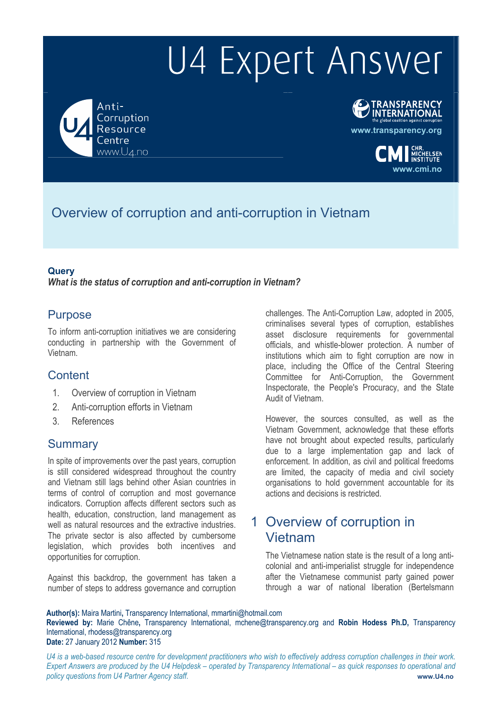Anti-Corruption Resource entre www.U4.no

# **TRANSPARENCY**<br>INTERNATIONAL

**www.transparency.org**

**www.cmi.no**

# Overview of corruption and anti-corruption in Vietnam

### **Query**

*What is the status of corruption and anti-corruption in Vietnam?* 

### Purpose

To inform anti-corruption initiatives we are considering conducting in partnership with the Government of Vietnam.

### **Content**

- 1. Overview of corruption in Vietnam
- 2. Anti-corruption efforts in Vietnam
- 3. References

### **Summary**

In spite of improvements over the past years, corruption is still considered widespread throughout the country and Vietnam still lags behind other Asian countries in terms of control of corruption and most governance indicators. Corruption affects different sectors such as health, education, construction, land management as well as natural resources and the extractive industries. The private sector is also affected by cumbersome legislation, which provides both incentives and opportunities for corruption.

Against this backdrop, the government has taken a number of steps to address governance and corruption

challenges. The Anti-Corruption Law, adopted in 2005, criminalises several types of corruption, establishes asset disclosure requirements for governmental officials, and whistle-blower protection. A number of institutions which aim to fight corruption are now in place, including the Office of the Central Steering Committee for Anti-Corruption, the Government Inspectorate, the People's Procuracy, and the State Audit of Vietnam.

However, the sources consulted, as well as the Vietnam Government, acknowledge that these efforts have not brought about expected results, particularly due to a large implementation gap and lack of enforcement. In addition, as civil and political freedoms are limited, the capacity of media and civil society organisations to hold government accountable for its actions and decisions is restricted.

## 1 Overview of corruption in Vietnam

The Vietnamese nation state is the result of a long anticolonial and anti-imperialist struggle for independence after the Vietnamese communist party gained power through a war of national liberation (Bertelsmann

**Author(s):** Maira Martini**,** Transparency International, mmartini@hotmail.com

**Reviewed by:** Marie Chêne**,** Transparency International, mchene@transparency.org and **Robin Hodess Ph.D,** Transparency International, rhodess@transparency.org

### **Date:** 27 January 2012 **Number:** 315

*U4 is a web-based resource centre for development practitioners who wish to effectively address corruption challenges in their work. Expert Answers are produced by the U4 Helpdesk – operated by Transparency International – as quick responses to operational and policy questions from U4 Partner Agency staff.* **www.U4.no**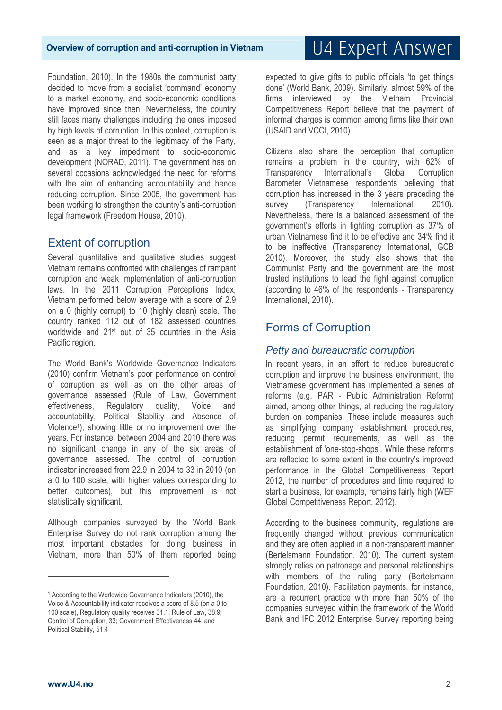Foundation, 2010). In the 1980s the communist party decided to move from a socialist 'command' economy to a market economy, and socio-economic conditions have improved since then. Nevertheless, the country still faces many challenges including the ones imposed by high levels of corruption. In this context, corruption is seen as a major threat to the legitimacy of the Party, and as a key impediment to socio-economic development (NORAD, 2011). The government has on several occasions acknowledged the need for reforms with the aim of enhancing accountability and hence reducing corruption. Since 2005, the government has been working to strengthen the country's anti-corruption legal framework (Freedom House, 2010).

### Extent of corruption

Several quantitative and qualitative studies suggest Vietnam remains confronted with challenges of rampant corruption and weak implementation of anti-corruption laws. In the 2011 Corruption Perceptions Index, Vietnam performed below average with a score of 2.9 on a 0 (highly corrupt) to 10 (highly clean) scale. The country ranked 112 out of 182 assessed countries worldwide and 21st out of 35 countries in the Asia Pacific region.

The World Bank's Worldwide Governance Indicators (2010) confirm Vietnam's poor performance on control of corruption as well as on the other areas of governance assessed (Rule of Law, Government effectiveness, Regulatory quality, Voice and accountability, Political Stability and Absence of Violence1), showing little or no improvement over the years. For instance, between 2004 and 2010 there was no significant change in any of the six areas of governance assessed. The control of corruption indicator increased from 22.9 in 2004 to 33 in 2010 (on a 0 to 100 scale, with higher values corresponding to better outcomes), but this improvement is not statistically significant.

Although companies surveyed by the World Bank Enterprise Survey do not rank corruption among the most important obstacles for doing business in Vietnam, more than 50% of them reported being

# U4 Expert Answer

expected to give gifts to public officials 'to get things done' (World Bank, 2009). Similarly, almost 59% of the firms interviewed by the Vietnam Provincial Competitiveness Report believe that the payment of informal charges is common among firms like their own (USAID and VCCI, 2010).

Citizens also share the perception that corruption remains a problem in the country, with 62% of Transparency International's Global Corruption Barometer Vietnamese respondents believing that corruption has increased in the 3 years preceding the survey (Transparency International, 2010). Nevertheless, there is a balanced assessment of the government's efforts in fighting corruption as 37% of urban Vietnamese find it to be effective and 34% find it to be ineffective (Transparency International, GCB 2010). Moreover, the study also shows that the Communist Party and the government are the most trusted institutions to lead the fight against corruption (according to 46% of the respondents - Transparency International, 2010).

### Forms of Corruption

### *Petty and bureaucratic corruption*

In recent years, in an effort to reduce bureaucratic corruption and improve the business environment, the Vietnamese government has implemented a series of reforms (e.g. PAR - Public Administration Reform) aimed, among other things, at reducing the regulatory burden on companies. These include measures such as simplifying company establishment procedures, reducing permit requirements, as well as the establishment of 'one-stop-shops'. While these reforms are reflected to some extent in the country's improved performance in the Global Competitiveness Report 2012, the number of procedures and time required to start a business, for example, remains fairly high (WEF Global Competitiveness Report, 2012).

According to the business community, regulations are frequently changed without previous communication and they are often applied in a non-transparent manner (Bertelsmann Foundation, 2010). The current system strongly relies on patronage and personal relationships with members of the ruling party (Bertelsmann Foundation, 2010). Facilitation payments, for instance, are a recurrent practice with more than 50% of the companies surveyed within the framework of the World Bank and IFC 2012 Enterprise Survey reporting being

 $\overline{a}$ 

<sup>&</sup>lt;sup>1</sup> According to the Worldwide Governance Indicators (2010), the Voice & Accountability indicator receives a score of 8.5 (on a 0 to 100 scale), Regulatory quality receives 31.1, Rule of Law, 38.9; Control of Corruption, 33; Government Effectiveness 44, and Political Stability, 51.4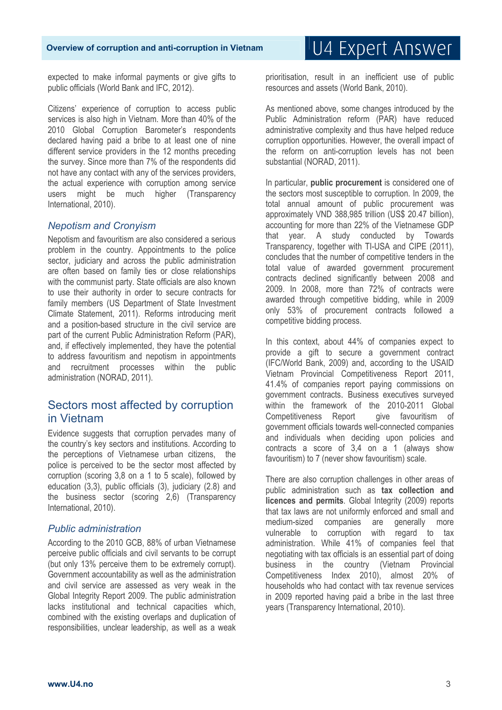expected to make informal payments or give gifts to public officials (World Bank and IFC, 2012).

Citizens' experience of corruption to access public services is also high in Vietnam. More than 40% of the 2010 Global Corruption Barometer's respondents declared having paid a bribe to at least one of nine different service providers in the 12 months preceding the survey. Since more than 7% of the respondents did not have any contact with any of the services providers, the actual experience with corruption among service users might be much higher (Transparency International, 2010).

### *Nepotism and Cronyism*

Nepotism and favouritism are also considered a serious problem in the country. Appointments to the police sector, judiciary and across the public administration are often based on family ties or close relationships with the communist party. State officials are also known to use their authority in order to secure contracts for family members (US Department of State Investment Climate Statement, 2011). Reforms introducing merit and a position-based structure in the civil service are part of the current Public Administration Reform (PAR), and, if effectively implemented, they have the potential to address favouritism and nepotism in appointments and recruitment processes within the public administration (NORAD, 2011).

### Sectors most affected by corruption in Vietnam

Evidence suggests that corruption pervades many of the country's key sectors and institutions. According to the perceptions of Vietnamese urban citizens, the police is perceived to be the sector most affected by corruption (scoring 3,8 on a 1 to 5 scale), followed by education (3,3), public officials (3), judiciary (2.8) and the business sector (scoring 2,6) (Transparency International, 2010).

#### *Public administration*

According to the 2010 GCB, 88% of urban Vietnamese perceive public officials and civil servants to be corrupt (but only 13% perceive them to be extremely corrupt). Government accountability as well as the administration and civil service are assessed as very weak in the Global Integrity Report 2009. The public administration lacks institutional and technical capacities which, combined with the existing overlaps and duplication of responsibilities, unclear leadership, as well as a weak

prioritisation, result in an inefficient use of public resources and assets (World Bank, 2010).

As mentioned above, some changes introduced by the Public Administration reform (PAR) have reduced administrative complexity and thus have helped reduce corruption opportunities. However, the overall impact of the reform on anti-corruption levels has not been substantial (NORAD, 2011).

In particular, **public procurement** is considered one of the sectors most susceptible to corruption. In 2009, the total annual amount of public procurement was approximately VND 388,985 trillion (US\$ 20.47 billion), accounting for more than 22% of the Vietnamese GDP that year. A study conducted by Towards Transparency, together with TI-USA and CIPE (2011), concludes that the number of competitive tenders in the total value of awarded government procurement contracts declined significantly between 2008 and 2009. In 2008, more than 72% of contracts were awarded through competitive bidding, while in 2009 only 53% of procurement contracts followed a competitive bidding process.

In this context, about 44% of companies expect to provide a gift to secure a government contract (IFC/World Bank, 2009) and, according to the USAID Vietnam Provincial Competitiveness Report 2011, 41.4% of companies report paying commissions on government contracts. Business executives surveyed within the framework of the 2010-2011 Global Competitiveness Report aive favouritism of government officials towards well-connected companies and individuals when deciding upon policies and contracts a score of 3,4 on a 1 (always show favouritism) to 7 (never show favouritism) scale.

There are also corruption challenges in other areas of public administration such as **tax collection and licences and permits**. Global Integrity (2009) reports that tax laws are not uniformly enforced and small and medium-sized companies are generally more vulnerable to corruption with regard to tax administration. While 41% of companies feel that negotiating with tax officials is an essential part of doing business in the country (Vietnam Provincial Competitiveness Index 2010), almost 20% of households who had contact with tax revenue services in 2009 reported having paid a bribe in the last three years (Transparency International, 2010).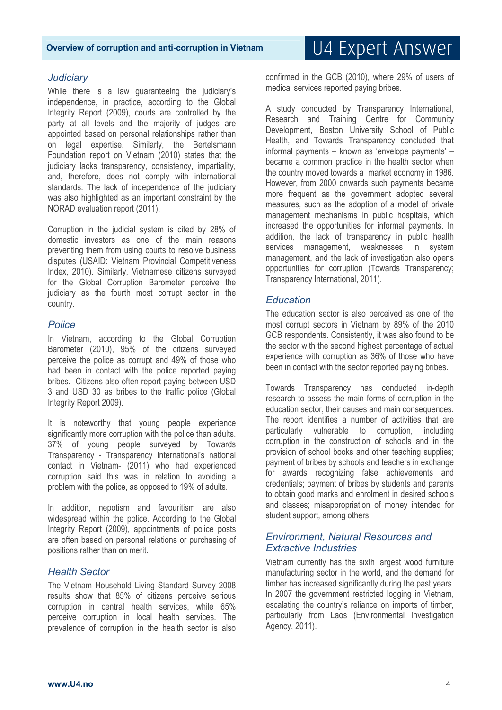### *Judiciary*

While there is a law guaranteeing the judiciary's independence, in practice, according to the Global Integrity Report (2009), courts are controlled by the party at all levels and the majority of judges are appointed based on personal relationships rather than on legal expertise. Similarly, the Bertelsmann Foundation report on Vietnam (2010) states that the judiciary lacks transparency, consistency, impartiality, and, therefore, does not comply with international standards. The lack of independence of the judiciary was also highlighted as an important constraint by the NORAD evaluation report (2011).

Corruption in the judicial system is cited by 28% of domestic investors as one of the main reasons preventing them from using courts to resolve business disputes (USAID: Vietnam Provincial Competitiveness Index, 2010). Similarly, Vietnamese citizens surveyed for the Global Corruption Barometer perceive the judiciary as the fourth most corrupt sector in the country.

### *Police*

In Vietnam, according to the Global Corruption Barometer (2010), 95% of the citizens surveyed perceive the police as corrupt and 49% of those who had been in contact with the police reported paying bribes. Citizens also often report paying between USD 3 and USD 30 as bribes to the traffic police (Global Integrity Report 2009).

It is noteworthy that young people experience significantly more corruption with the police than adults. 37% of young people surveyed by Towards Transparency - Transparency International's national contact in Vietnam- (2011) who had experienced corruption said this was in relation to avoiding a problem with the police, as opposed to 19% of adults.

In addition, nepotism and favouritism are also widespread within the police. According to the Global Integrity Report (2009), appointments of police posts are often based on personal relations or purchasing of positions rather than on merit.

### *Health Sector*

The Vietnam Household Living Standard Survey 2008 results show that 85% of citizens perceive serious corruption in central health services, while 65% perceive corruption in local health services. The prevalence of corruption in the health sector is also confirmed in the GCB (2010), where 29% of users of medical services reported paying bribes.

A study conducted by Transparency International, Research and Training Centre for Community Development, Boston University School of Public Health, and Towards Transparency concluded that informal payments – known as 'envelope payments' – became a common practice in the health sector when the country moved towards a market economy in 1986. However, from 2000 onwards such payments became more frequent as the government adopted several measures, such as the adoption of a model of private management mechanisms in public hospitals, which increased the opportunities for informal payments. In addition, the lack of transparency in public health services management, weaknesses in system management, and the lack of investigation also opens opportunities for corruption (Towards Transparency; Transparency International, 2011).

#### *Education*

The education sector is also perceived as one of the most corrupt sectors in Vietnam by 89% of the 2010 GCB respondents. Consistently, it was also found to be the sector with the second highest percentage of actual experience with corruption as 36% of those who have been in contact with the sector reported paying bribes.

Towards Transparency has conducted in-depth research to assess the main forms of corruption in the education sector, their causes and main consequences. The report identifies a number of activities that are particularly vulnerable to corruption, including corruption in the construction of schools and in the provision of school books and other teaching supplies; payment of bribes by schools and teachers in exchange for awards recognizing false achievements and credentials; payment of bribes by students and parents to obtain good marks and enrolment in desired schools and classes; misappropriation of money intended for student support, among others.

### *Environment, Natural Resources and Extractive Industries*

Vietnam currently has the sixth largest wood furniture manufacturing sector in the world, and the demand for timber has increased significantly during the past years. In 2007 the government restricted logging in Vietnam, escalating the country's reliance on imports of timber, particularly from Laos (Environmental Investigation Agency, 2011).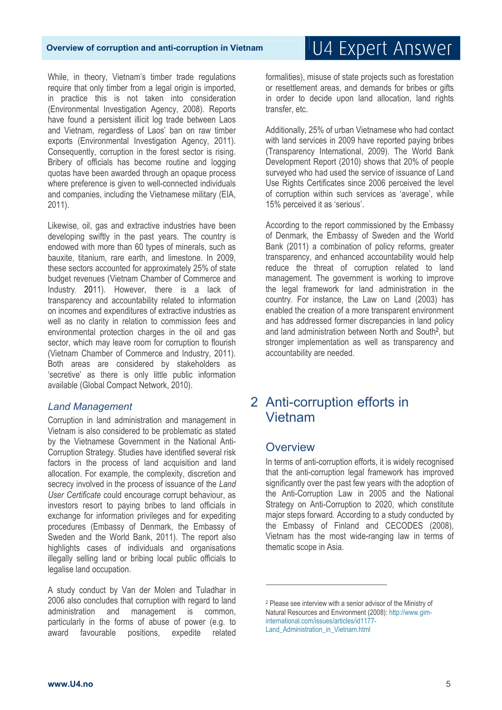While, in theory, Vietnam's timber trade regulations require that only timber from a legal origin is imported, in practice this is not taken into consideration (Environmental Investigation Agency, 2008). Reports have found a persistent illicit log trade between Laos and Vietnam, regardless of Laos' ban on raw timber exports (Environmental Investigation Agency, 2011). Consequently, corruption in the forest sector is rising. Bribery of officials has become routine and logging quotas have been awarded through an opaque process where preference is given to well-connected individuals and companies, including the Vietnamese military (EIA, 2011).

Likewise, oil, gas and extractive industries have been developing swiftly in the past years. The country is endowed with more than 60 types of minerals, such as bauxite, titanium, rare earth, and limestone. In 2009, these sectors accounted for approximately 25% of state budget revenues (Vietnam Chamber of Commerce and Industry, 2011). However, there is a lack of transparency and accountability related to information on incomes and expenditures of extractive industries as well as no clarity in relation to commission fees and environmental protection charges in the oil and gas sector, which may leave room for corruption to flourish (Vietnam Chamber of Commerce and Industry, 2011). Both areas are considered by stakeholders as 'secretive' as there is only little public information available (Global Compact Network, 2010).

#### *Land Management*

Corruption in land administration and management in Vietnam is also considered to be problematic as stated by the Vietnamese Government in the National Anti-Corruption Strategy. Studies have identified several risk factors in the process of land acquisition and land allocation. For example, the complexity, discretion and secrecy involved in the process of issuance of the *Land User Certificate* could encourage corrupt behaviour, as investors resort to paying bribes to land officials in exchange for information privileges and for expediting procedures (Embassy of Denmark, the Embassy of Sweden and the World Bank, 2011). The report also highlights cases of individuals and organisations illegally selling land or bribing local public officials to legalise land occupation.

A study conduct by Van der Molen and Tuladhar in 2006 also concludes that corruption with regard to land administration and management is common, particularly in the forms of abuse of power (e.g. to award favourable positions, expedite related

# U4 Expert Answer

formalities), misuse of state projects such as forestation or resettlement areas, and demands for bribes or gifts in order to decide upon land allocation, land rights transfer, etc.

Additionally, 25% of urban Vietnamese who had contact with land services in 2009 have reported paying bribes (Transparency International, 2009). The World Bank Development Report (2010) shows that 20% of people surveyed who had used the service of issuance of Land Use Rights Certificates since 2006 perceived the level of corruption within such services as 'average', while 15% perceived it as 'serious'.

According to the report commissioned by the Embassy of Denmark, the Embassy of Sweden and the World Bank (2011) a combination of policy reforms, greater transparency, and enhanced accountability would help reduce the threat of corruption related to land management. The government is working to improve the legal framework for land administration in the country. For instance, the Law on Land (2003) has enabled the creation of a more transparent environment and has addressed former discrepancies in land policy and land administration between North and South2, but stronger implementation as well as transparency and accountability are needed.

### 2 Anti-corruption efforts in Vietnam

### **Overview**

.<br>-

In terms of anti-corruption efforts, it is widely recognised that the anti-corruption legal framework has improved significantly over the past few years with the adoption of the Anti-Corruption Law in 2005 and the National Strategy on Anti-Corruption to 2020, which constitute major steps forward. According to a study conducted by the Embassy of Finland and CECODES (2008), Vietnam has the most wide-ranging law in terms of thematic scope in Asia.

<sup>2</sup> Please see interview with a senior advisor of the Ministry of Natural Resources and Environment (2008): http://www.giminternational.com/issues/articles/id1177- Land Administration in Vietnam.html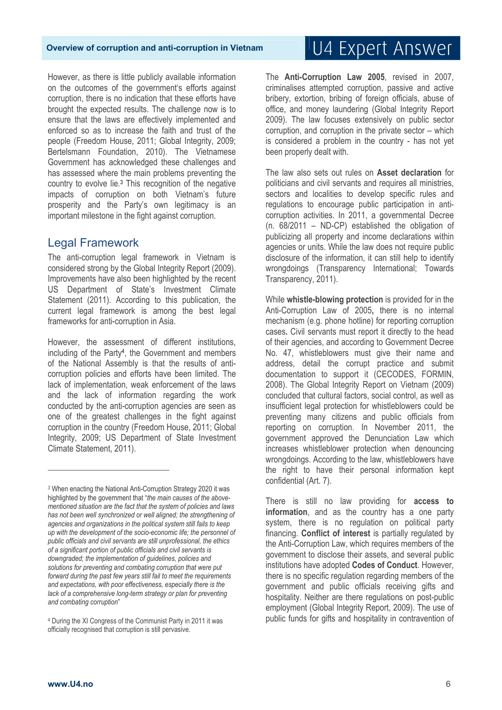However, as there is little publicly available information on the outcomes of the government's efforts against corruption, there is no indication that these efforts have brought the expected results. The challenge now is to ensure that the laws are effectively implemented and enforced so as to increase the faith and trust of the people (Freedom House, 2011; Global Integrity, 2009; Bertelsmann Foundation, 2010). The Vietnamese Government has acknowledged these challenges and has assessed where the main problems preventing the country to evolve lie.3 This recognition of the negative impacts of corruption on both Vietnam's future prosperity and the Party's own legitimacy is an important milestone in the fight against corruption.

### Legal Framework

The anti-corruption legal framework in Vietnam is considered strong by the Global Integrity Report (2009). Improvements have also been highlighted by the recent US Department of State's Investment Climate Statement (2011). According to this publication, the current legal framework is among the best legal frameworks for anti-corruption in Asia.

However, the assessment of different institutions, including of the Party4, the Government and members of the National Assembly is that the results of anticorruption policies and efforts have been limited. The lack of implementation, weak enforcement of the laws and the lack of information regarding the work conducted by the anti-corruption agencies are seen as one of the greatest challenges in the fight against corruption in the country (Freedom House, 2011; Global Integrity, 2009; US Department of State Investment Climate Statement, 2011).

# U4 Expert Answer

The **Anti-Corruption Law 2005**, revised in 2007, criminalises attempted corruption, passive and active bribery, extortion, bribing of foreign officials, abuse of office, and money laundering (Global Integrity Report 2009). The law focuses extensively on public sector corruption, and corruption in the private sector – which is considered a problem in the country - has not yet been properly dealt with.

The law also sets out rules on **Asset declaration** for politicians and civil servants and requires all ministries, sectors and localities to develop specific rules and regulations to encourage public participation in anticorruption activities. In 2011, a governmental Decree (n. 68/2011 – ND-CP) established the obligation of publicizing all property and income declarations within agencies or units. While the law does not require public disclosure of the information, it can still help to identify wrongdoings (Transparency International; Towards Transparency, 2011).

While **whistle-blowing protection** is provided for in the Anti-Corruption Law of 2005**,** there is no internal mechanism (e.g. phone hotline) for reporting corruption cases**.** Civil servants must report it directly to the head of their agencies, and according to Government Decree No. 47, whistleblowers must give their name and address, detail the corrupt practice and submit documentation to support it (CECODES, FORMIN, 2008). The Global Integrity Report on Vietnam (2009) concluded that cultural factors, social control, as well as insufficient legal protection for whistleblowers could be preventing many citizens and public officials from reporting on corruption. In November 2011, the government approved the Denunciation Law which increases whistleblower protection when denouncing wrongdoings. According to the law, whistleblowers have the right to have their personal information kept confidential (Art. 7).

There is still no law providing for **access to information**, and as the country has a one party system, there is no regulation on political party financing. **Conflict of interest** is partially regulated by the Anti-Corruption Law, which requires members of the government to disclose their assets, and several public institutions have adopted **Codes of Conduct**. However, there is no specific regulation regarding members of the government and public officials receiving gifts and hospitality. Neither are there regulations on post-public employment (Global Integrity Report, 2009). The use of public funds for gifts and hospitality in contravention of

 $\overline{a}$ 

<sup>3</sup> When enacting the National Anti-Corruption Strategy 2020 it was highlighted by the government that "*the main causes of the abovementioned situation are the fact that the system of policies and laws has not been well synchronized or well aligned; the strengthening of agencies and organizations in the political system still fails to keep up with the development of the socio-economic life; the personnel of public officials and civil servants are still unprofessional, the ethics of a significant portion of public officials and civil servants is downgraded; the implementation of guidelines, policies and solutions for preventing and combating corruption that were put forward during the past few years still fail to meet the requirements and expectations, with poor effectiveness, especially there is the*  lack of a comprehensive long-term strategy or plan for preventing *and combating corruption*"

<sup>4</sup> During the XI Congress of the Communist Party in 2011 it was officially recognised that corruption is still pervasive.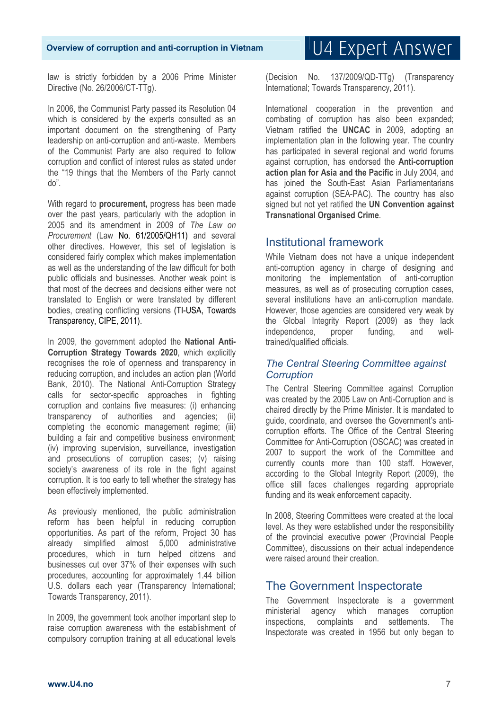law is strictly forbidden by a 2006 Prime Minister Directive (No. 26/2006/CT-TTg).

In 2006, the Communist Party passed its Resolution 04 which is considered by the experts consulted as an important document on the strengthening of Party leadership on anti-corruption and anti-waste. Members of the Communist Party are also required to follow corruption and conflict of interest rules as stated under the "19 things that the Members of the Party cannot do".

With regard to **procurement,** progress has been made over the past years, particularly with the adoption in 2005 and its amendment in 2009 of *The Law on Procurement* (Law No. 61/2005/QH11) and several other directives. However, this set of legislation is considered fairly complex which makes implementation as well as the understanding of the law difficult for both public officials and businesses. Another weak point is that most of the decrees and decisions either were not translated to English or were translated by different bodies, creating conflicting versions (TI-USA, Towards Transparency, CIPE, 2011).

In 2009, the government adopted the **National Anti-Corruption Strategy Towards 2020**, which explicitly recognises the role of openness and transparency in reducing corruption, and includes an action plan (World Bank, 2010). The National Anti-Corruption Strategy calls for sector-specific approaches in fighting corruption and contains five measures: (i) enhancing transparency of authorities and agencies; (ii) completing the economic management regime; (iii) building a fair and competitive business environment; (iv) improving supervision, surveillance, investigation and prosecutions of corruption cases; (v) raising society's awareness of its role in the fight against corruption. It is too early to tell whether the strategy has been effectively implemented.

As previously mentioned, the public administration reform has been helpful in reducing corruption opportunities. As part of the reform, Project 30 has already simplified almost 5,000 administrative procedures, which in turn helped citizens and businesses cut over 37% of their expenses with such procedures, accounting for approximately 1.44 billion U.S. dollars each year (Transparency International; Towards Transparency, 2011).

In 2009, the government took another important step to raise corruption awareness with the establishment of compulsory corruption training at all educational levels

(Decision No. 137/2009/QD-TTg) (Transparency International; Towards Transparency, 2011).

International cooperation in the prevention and combating of corruption has also been expanded; Vietnam ratified the **UNCAC** in 2009, adopting an implementation plan in the following year. The country has participated in several regional and world forums against corruption, has endorsed the **Anti-corruption action plan for Asia and the Pacific** in July 2004, and has joined the South-East Asian Parliamentarians against corruption (SEA-PAC). The country has also signed but not yet ratified the **UN Convention against Transnational Organised Crime**.

### Institutional framework

While Vietnam does not have a unique independent anti-corruption agency in charge of designing and monitoring the implementation of anti-corruption measures, as well as of prosecuting corruption cases, several institutions have an anti-corruption mandate. However, those agencies are considered very weak by the Global Integrity Report (2009) as they lack independence, proper funding, and welltrained/qualified officials.

### *The Central Steering Committee against Corruption*

The Central Steering Committee against Corruption was created by the 2005 Law on Anti-Corruption and is chaired directly by the Prime Minister. It is mandated to guide, coordinate, and oversee the Government's anticorruption efforts. The Office of the Central Steering Committee for Anti-Corruption (OSCAC) was created in 2007 to support the work of the Committee and currently counts more than 100 staff. However, according to the Global Integrity Report (2009), the office still faces challenges regarding appropriate funding and its weak enforcement capacity.

In 2008, Steering Committees were created at the local level. As they were established under the responsibility of the provincial executive power (Provincial People Committee), discussions on their actual independence were raised around their creation.

### The Government Inspectorate

The Government Inspectorate is a government ministerial agency which manages corruption inspections, complaints and settlements. The Inspectorate was created in 1956 but only began to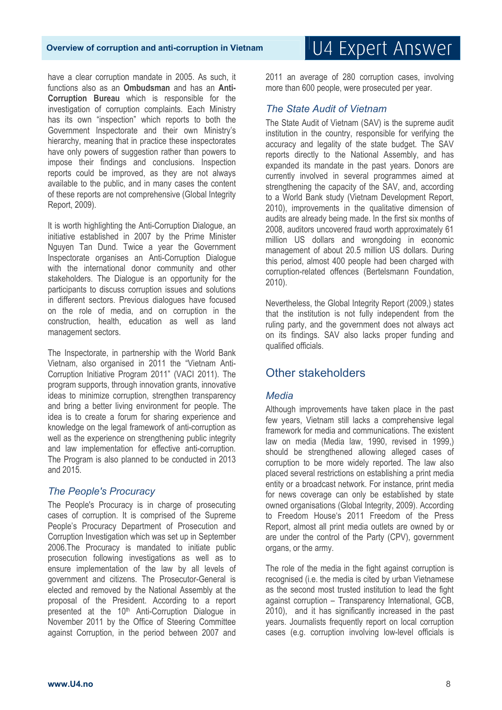#### have a clear corruption mandate in 2005. As such, it functions also as an **Ombudsman** and has an **Anti-Corruption Bureau** which is responsible for the investigation of corruption complaints. Each Ministry has its own "inspection" which reports to both the Government Inspectorate and their own Ministry's hierarchy, meaning that in practice these inspectorates have only powers of suggestion rather than powers to impose their findings and conclusions. Inspection reports could be improved, as they are not always available to the public, and in many cases the content of these reports are not comprehensive (Global Integrity Report, 2009).

It is worth highlighting the Anti-Corruption Dialogue, an initiative established in 2007 by the Prime Minister Nguyen Tan Dund. Twice a year the Government Inspectorate organises an Anti-Corruption Dialogue with the international donor community and other stakeholders. The Dialogue is an opportunity for the participants to discuss corruption issues and solutions in different sectors. Previous dialogues have focused on the role of media, and on corruption in the construction, health, education as well as land management sectors.

The Inspectorate, in partnership with the World Bank Vietnam, also organised in 2011 the "Vietnam Anti-Corruption Initiative Program 2011" (VACI 2011). The program supports, through innovation grants, innovative ideas to minimize corruption, strengthen transparency and bring a better living environment for people. The idea is to create a forum for sharing experience and knowledge on the legal framework of anti-corruption as well as the experience on strengthening public integrity and law implementation for effective anti-corruption. The Program is also planned to be conducted in 2013 and 2015.

### *The People's Procuracy*

The People's Procuracy is in charge of prosecuting cases of corruption. It is comprised of the Supreme People's Procuracy Department of Prosecution and Corruption Investigation which was set up in September 2006.The Procuracy is mandated to initiate public prosecution following investigations as well as to ensure implementation of the law by all levels of government and citizens. The Prosecutor-General is elected and removed by the National Assembly at the proposal of the President. According to a report presented at the 10<sup>th</sup> Anti-Corruption Dialogue in November 2011 by the Office of Steering Committee against Corruption, in the period between 2007 and

2011 an average of 280 corruption cases, involving more than 600 people, were prosecuted per year.

### *The State Audit of Vietnam*

The State Audit of Vietnam (SAV) is the supreme audit institution in the country, responsible for verifying the accuracy and legality of the state budget. The SAV reports directly to the National Assembly, and has expanded its mandate in the past years. Donors are currently involved in several programmes aimed at strengthening the capacity of the SAV, and, according to a World Bank study (Vietnam Development Report, 2010), improvements in the qualitative dimension of audits are already being made. In the first six months of 2008, auditors uncovered fraud worth approximately 61 million US dollars and wrongdoing in economic management of about 20.5 million US dollars. During this period, almost 400 people had been charged with corruption-related offences (Bertelsmann Foundation, 2010).

Nevertheless, the Global Integrity Report (2009,) states that the institution is not fully independent from the ruling party, and the government does not always act on its findings. SAV also lacks proper funding and qualified officials.

### Other stakeholders

### *Media*

Although improvements have taken place in the past few years, Vietnam still lacks a comprehensive legal framework for media and communications. The existent law on media (Media law, 1990, revised in 1999,) should be strengthened allowing alleged cases of corruption to be more widely reported. The law also placed several restrictions on establishing a print media entity or a broadcast network. For instance, print media for news coverage can only be established by state owned organisations (Global Integrity, 2009). According to Freedom House's 2011 Freedom of the Press Report, almost all print media outlets are owned by or are under the control of the Party (CPV), government organs, or the army.

The role of the media in the fight against corruption is recognised (i.e. the media is cited by urban Vietnamese as the second most trusted institution to lead the fight against corruption – Transparency International, GCB, 2010), and it has significantly increased in the past years. Journalists frequently report on local corruption cases (e.g. corruption involving low-level officials is

# U4 Expert Answer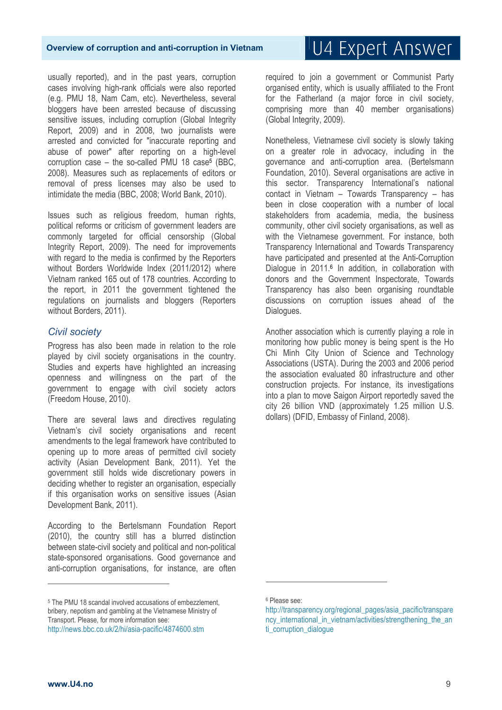usually reported), and in the past years, corruption cases involving high-rank officials were also reported (e.g. PMU 18, Nam Cam, etc). Nevertheless, several bloggers have been arrested because of discussing sensitive issues, including corruption (Global Integrity Report, 2009) and in 2008, two journalists were arrested and convicted for "inaccurate reporting and abuse of power" after reporting on a high-level corruption case – the so-called PMU 18 case<sup>5</sup> (BBC, 2008). Measures such as replacements of editors or removal of press licenses may also be used to intimidate the media (BBC, 2008; World Bank, 2010).

Issues such as religious freedom, human rights, political reforms or criticism of government leaders are commonly targeted for official censorship (Global Integrity Report, 2009). The need for improvements with regard to the media is confirmed by the Reporters without Borders Worldwide Index (2011/2012) where Vietnam ranked 165 out of 178 countries. According to the report, in 2011 the government tightened the regulations on journalists and bloggers (Reporters without Borders, 2011).

### *Civil society*

Progress has also been made in relation to the role played by civil society organisations in the country. Studies and experts have highlighted an increasing openness and willingness on the part of the government to engage with civil society actors (Freedom House, 2010).

There are several laws and directives regulating Vietnam's civil society organisations and recent amendments to the legal framework have contributed to opening up to more areas of permitted civil society activity (Asian Development Bank, 2011). Yet the government still holds wide discretionary powers in deciding whether to register an organisation, especially if this organisation works on sensitive issues (Asian Development Bank, 2011).

According to the Bertelsmann Foundation Report (2010), the country still has a blurred distinction between state-civil society and political and non-political state-sponsored organisations. Good governance and anti-corruption organisations, for instance, are often

U4 Expert Answer

required to join a government or Communist Party organised entity, which is usually affiliated to the Front for the Fatherland (a major force in civil society, comprising more than 40 member organisations) (Global Integrity, 2009).

Nonetheless, Vietnamese civil society is slowly taking on a greater role in advocacy, including in the governance and anti-corruption area. (Bertelsmann Foundation, 2010). Several organisations are active in this sector. Transparency International's national contact in Vietnam – Towards Transparency – has been in close cooperation with a number of local stakeholders from academia, media, the business community, other civil society organisations, as well as with the Vietnamese government. For instance, both Transparency International and Towards Transparency have participated and presented at the Anti-Corruption Dialogue in 2011.<sup>6</sup> In addition, in collaboration with donors and the Government Inspectorate, Towards Transparency has also been organising roundtable discussions on corruption issues ahead of the Dialogues.

Another association which is currently playing a role in monitoring how public money is being spent is the Ho Chi Minh City Union of Science and Technology Associations (USTA). During the 2003 and 2006 period the association evaluated 80 infrastructure and other construction projects. For instance, its investigations into a plan to move Saigon Airport reportedly saved the city 26 billion VND (approximately 1.25 million U.S. dollars) (DFID, Embassy of Finland, 2008).

.<br>-

 $\overline{a}$ 

<sup>5</sup> The PMU 18 scandal involved accusations of embezzlement, bribery, nepotism and gambling at the Vietnamese Ministry of Transport. Please, for more information see: http://news.bbc.co.uk/2/hi/asia-pacific/4874600.stm

<sup>6</sup> Please see:

http://transparency.org/regional\_pages/asia\_pacific/transpare ncy international in vietnam/activities/strengthening the an ti corruption dialogue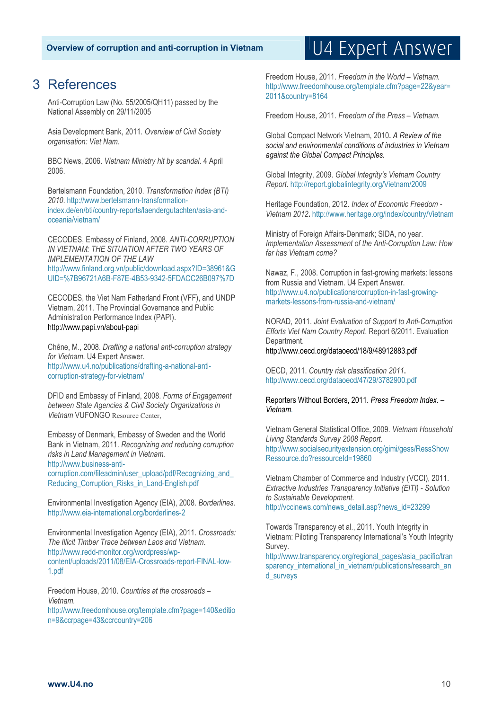### 3 References

Anti-Corruption Law (No. 55/2005/QH11) passed by the National Assembly on 29/11/2005

Asia Development Bank, 2011. *Overview of Civil Society organisation: Viet Nam*.

BBC News, 2006. *Vietnam Ministry hit by scandal*. 4 April 2006.

Bertelsmann Foundation, 2010. *Transformation Index (BTI) 2010*. http://www.bertelsmann-transformationindex.de/en/bti/country-reports/laendergutachten/asia-andoceania/vietnam/

CECODES, Embassy of Finland, 2008. *ANTI-CORRUPTION IN VIETNAM: THE SITUATION AFTER TWO YEARS OF IMPLEMENTATION OF THE LAW* http://www.finland.org.vn/public/download.aspx?ID=38961&G UID=%7B96721A6B-F87E-4B53-9342-5FDACC26B097%7D

CECODES, the Viet Nam Fatherland Front (VFF), and UNDP Vietnam, 2011. The Provincial Governance and Public Administration Performance Index (PAPI). http://www.papi.vn/about-papi

Chêne, M., 2008. *Drafting a national anti-corruption strategy for Vietnam*. U4 Expert Answer. http://www.u4.no/publications/drafting-a-national-anticorruption-strategy-for-vietnam/

DFID and Embassy of Finland, 2008. *Forms of Engagement between State Agencies & Civil Society Organizations in Vietnam* VUFONGO Resource Center,

Embassy of Denmark, Embassy of Sweden and the World Bank in Vietnam, 2011. *Recognizing and reducing corruption risks in Land Management in Vietnam.* http://www.business-anti-

corruption.com/fileadmin/user\_upload/pdf/Recognizing\_and\_ Reducing Corruption Risks in Land-English.pdf

Environmental Investigation Agency (EIA), 2008. *Borderlines*. http://www.eia-international.org/borderlines-2

Environmental Investigation Agency (EIA), 2011. *Crossroads: The Illicit Timber Trace between Laos and Vietnam*. http://www.redd-monitor.org/wordpress/wpcontent/uploads/2011/08/EIA-Crossroads-report-FINAL-low-1.pdf

Freedom House, 2010. *Countries at the crossroads – Vietnam.* 

http://www.freedomhouse.org/template.cfm?page=140&editio n=9&ccrpage=43&ccrcountry=206

#### Freedom House, 2011. *Freedom in the World – Vietnam.* http://www.freedomhouse.org/template.cfm?page=22&year= 2011&country=8164

U4 Expert Answer

Freedom House, 2011. *Freedom of the Press – Vietnam.* 

Global Compact Network Vietnam, 2010**.** *A Review of the social and environmental conditions of industries in Vietnam against the Global Compact Principles.*

Global Integrity, 2009. *Global Integrity's Vietnam Country Report*. http://report.globalintegrity.org/Vietnam/2009

Heritage Foundation, 2012. *Index of Economic Freedom - Vietnam 2012***.** http://www.heritage.org/index/country/Vietnam

Ministry of Foreign Affairs-Denmark; SIDA, no year. *Implementation Assessment of the Anti-Corruption Law: How far has Vietnam come?*

Nawaz, F., 2008. Corruption in fast-growing markets: lessons from Russia and Vietnam. U4 Expert Answer. http://www.u4.no/publications/corruption-in-fast-growingmarkets-lessons-from-russia-and-vietnam/

NORAD, 2011. *Joint Evaluation of Support to Anti-Corruption Efforts Viet Nam Country Report*. Report 6/2011. Evaluation Department. http://www.oecd.org/dataoecd/18/9/48912883.pdf

OECD, 2011. *Country risk classification 2011***.**  http://www.oecd.org/dataoecd/47/29/3782900.pdf

Reporters Without Borders, 2011. *Press Freedom Index. – Vietnam.* 

Vietnam General Statistical Office, 2009. *Vietnam Household Living Standards Survey 2008 Report.* http://www.socialsecurityextension.org/gimi/gess/RessShow Ressource.do?ressourceId=19860

Vietnam Chamber of Commerce and Industry (VCCI), 2011. *Extractive Industries Transparency Initiative (EITI) - Solution to Sustainable Development*. http://vccinews.com/news\_detail.asp?news\_id=23299

Towards Transparency et al., 2011. Youth Integrity in Vietnam: Piloting Transparency International's Youth Integrity Survey.

http://www.transparency.org/regional\_pages/asia\_pacific/tran sparency\_international\_in\_vietnam/publications/research\_an d\_surveys